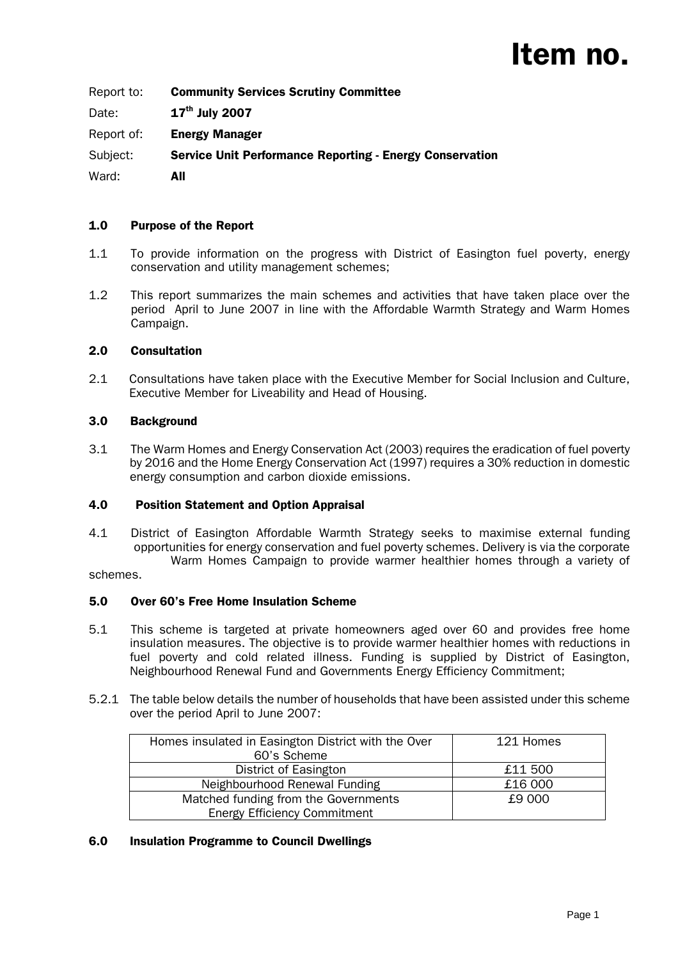Report to: Community Services Scrutiny Committee

Date: **17<sup>th</sup> July 2007** 

Report of: Energy Manager

Subject: Service Unit Performance Reporting - Energy Conservation

Ward: **All** 

## 1.0 Purpose of the Report

- 1.1 To provide information on the progress with District of Easington fuel poverty, energy conservation and utility management schemes;
- 1.2 This report summarizes the main schemes and activities that have taken place over the period April to June 2007 in line with the Affordable Warmth Strategy and Warm Homes Campaign.

## 2.0 Consultation

2.1 Consultations have taken place with the Executive Member for Social Inclusion and Culture, Executive Member for Liveability and Head of Housing.

## 3.0 Background

3.1 The Warm Homes and Energy Conservation Act (2003) requires the eradication of fuel poverty by 2016 and the Home Energy Conservation Act (1997) requires a 30% reduction in domestic energy consumption and carbon dioxide emissions.

#### 4.0 Position Statement and Option Appraisal

4.1 District of Easington Affordable Warmth Strategy seeks to maximise external funding opportunities for energy conservation and fuel poverty schemes. Delivery is via the corporate Warm Homes Campaign to provide warmer healthier homes through a variety of

schemes.

#### 5.0 Over 60's Free Home Insulation Scheme

- 5.1 This scheme is targeted at private homeowners aged over 60 and provides free home insulation measures. The objective is to provide warmer healthier homes with reductions in fuel poverty and cold related illness. Funding is supplied by District of Easington, Neighbourhood Renewal Fund and Governments Energy Efficiency Commitment;
- 5.2.1 The table below details the number of households that have been assisted under this scheme over the period April to June 2007:

| Homes insulated in Easington District with the Over<br>60's Scheme | 121 Homes |
|--------------------------------------------------------------------|-----------|
| District of Easington                                              | £11 500   |
| Neighbourhood Renewal Funding                                      | £16 000   |
| Matched funding from the Governments                               | £9 000    |
| <b>Energy Efficiency Commitment</b>                                |           |

#### 6.0 Insulation Programme to Council Dwellings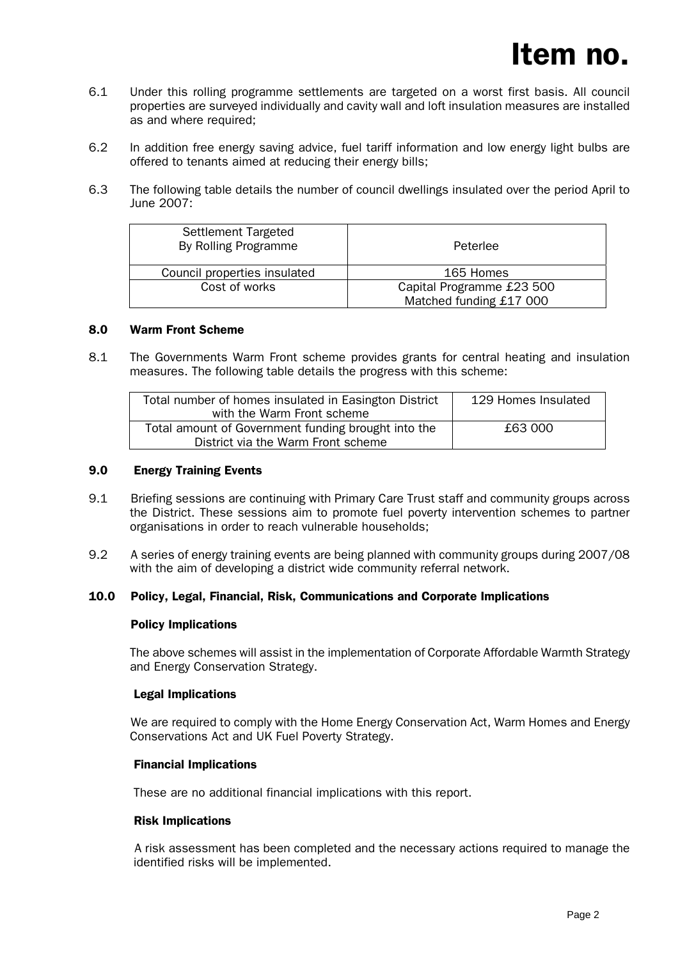- 6.1 Under this rolling programme settlements are targeted on a worst first basis. All council properties are surveyed individually and cavity wall and loft insulation measures are installed as and where required;
- 6.2 In addition free energy saving advice, fuel tariff information and low energy light bulbs are offered to tenants aimed at reducing their energy bills;
- 6.3 The following table details the number of council dwellings insulated over the period April to June 2007:

| <b>Settlement Targeted</b><br>By Rolling Programme | Peterlee                  |
|----------------------------------------------------|---------------------------|
| Council properties insulated                       | 165 Homes                 |
| Cost of works                                      | Capital Programme £23 500 |
|                                                    | Matched funding £17 000   |

#### 8.0 Warm Front Scheme

8.1 The Governments Warm Front scheme provides grants for central heating and insulation measures. The following table details the progress with this scheme:

| Total number of homes insulated in Easington District | 129 Homes Insulated |
|-------------------------------------------------------|---------------------|
| with the Warm Front scheme                            |                     |
| Total amount of Government funding brought into the   | £63,000             |
| District via the Warm Front scheme                    |                     |

#### 9.0 Energy Training Events

- 9.1 Briefing sessions are continuing with Primary Care Trust staff and community groups across the District. These sessions aim to promote fuel poverty intervention schemes to partner organisations in order to reach vulnerable households;
- 9.2 A series of energy training events are being planned with community groups during 2007/08 with the aim of developing a district wide community referral network.

#### 10.0 Policy, Legal, Financial, Risk, Communications and Corporate Implications

#### Policy Implications

The above schemes will assist in the implementation of Corporate Affordable Warmth Strategy and Energy Conservation Strategy.

#### Legal Implications

 We are required to comply with the Home Energy Conservation Act, Warm Homes and Energy Conservations Act and UK Fuel Poverty Strategy.

#### Financial Implications

These are no additional financial implications with this report.

#### Risk Implications

 A risk assessment has been completed and the necessary actions required to manage the identified risks will be implemented.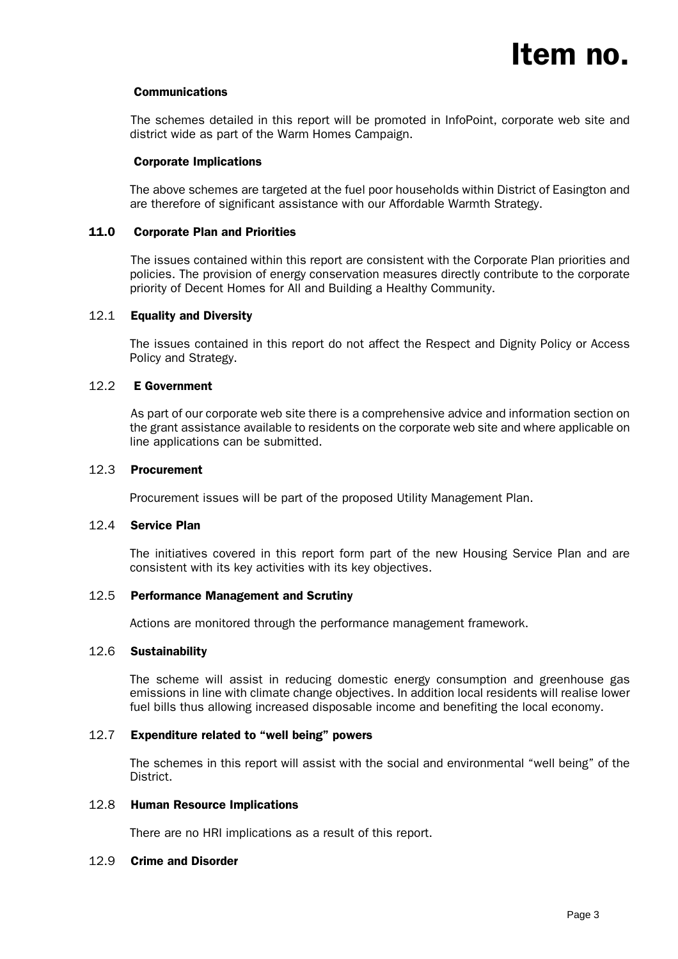

#### Communications

 The schemes detailed in this report will be promoted in InfoPoint, corporate web site and district wide as part of the Warm Homes Campaign.

#### Corporate Implications

The above schemes are targeted at the fuel poor households within District of Easington and are therefore of significant assistance with our Affordable Warmth Strategy.

#### 11.0 Corporate Plan and Priorities

 The issues contained within this report are consistent with the Corporate Plan priorities and policies. The provision of energy conservation measures directly contribute to the corporate priority of Decent Homes for All and Building a Healthy Community.

#### 12.1 Equality and Diversity

The issues contained in this report do not affect the Respect and Dignity Policy or Access Policy and Strategy.

#### 12.2 E Government

 As part of our corporate web site there is a comprehensive advice and information section on the grant assistance available to residents on the corporate web site and where applicable on line applications can be submitted.

#### 12.3 Procurement

Procurement issues will be part of the proposed Utility Management Plan.

#### 12.4 Service Plan

The initiatives covered in this report form part of the new Housing Service Plan and are consistent with its key activities with its key objectives.

#### 12.5 Performance Management and Scrutiny

Actions are monitored through the performance management framework.

#### 12.6 Sustainability

The scheme will assist in reducing domestic energy consumption and greenhouse gas emissions in line with climate change objectives. In addition local residents will realise lower fuel bills thus allowing increased disposable income and benefiting the local economy.

#### 12.7 Expenditure related to "well being" powers

The schemes in this report will assist with the social and environmental "well being" of the District.

#### 12.8 Human Resource Implications

There are no HRI implications as a result of this report.

#### 12.9 Crime and Disorder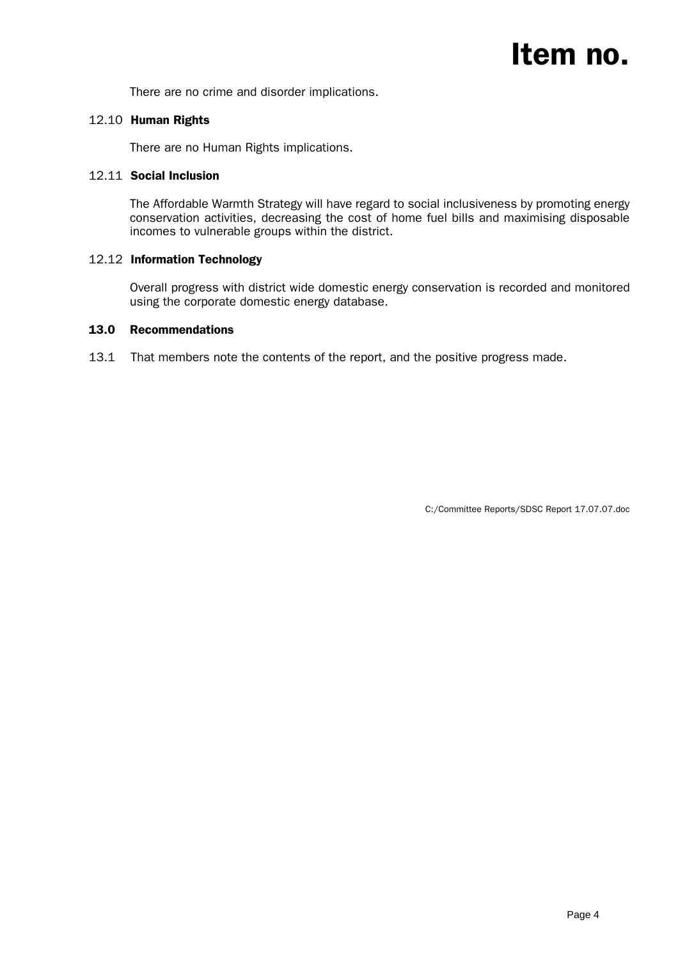There are no crime and disorder implications.

## 12.10 Human Rights

There are no Human Rights implications.

### 12.11 Social Inclusion

The Affordable Warmth Strategy will have regard to social inclusiveness by promoting energy conservation activities, decreasing the cost of home fuel bills and maximising disposable incomes to vulnerable groups within the district.

## 12.12 Information Technology

Overall progress with district wide domestic energy conservation is recorded and monitored using the corporate domestic energy database.

#### 13.0 Recommendations

13.1 That members note the contents of the report, and the positive progress made.

C:/Committee Reports/SDSC Report 17.07.07.doc